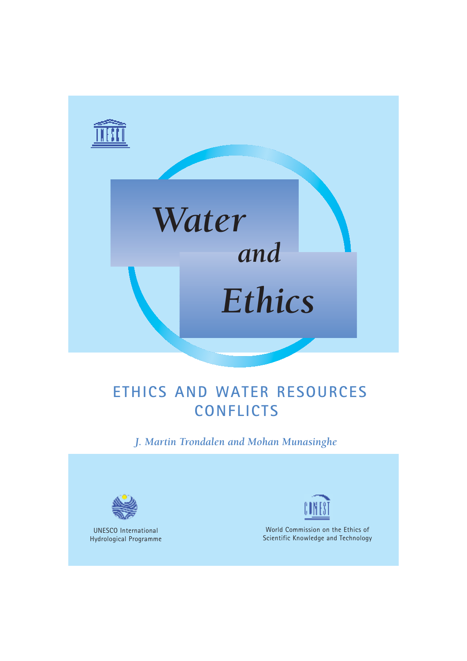



# **ETHICS AND WATER RESOURCES CONFLICTS**

*J. Martin Trondalen and Mohan Munasinghe*



UNESCO International Hydrological Programme



World Commission on the Ethics of Scientific Knowledge and Technology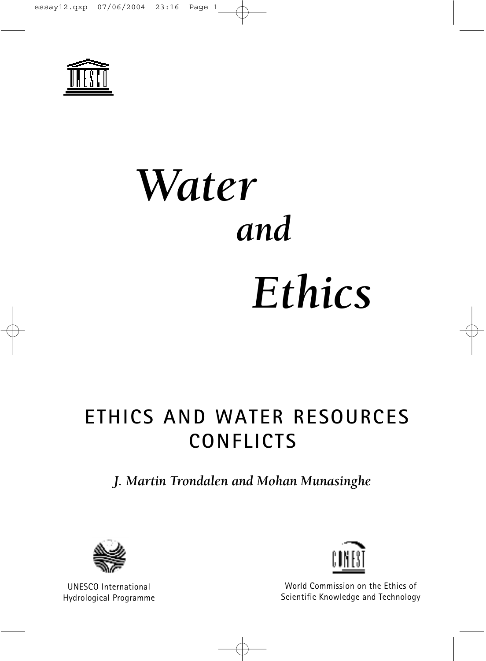

# *Water Ethics and*

# **ETHICS AND WATER RESOURCES CONFLICTS**

#### *J. Martin Trondalen and Mohan Munasinghe*



UNESCO International Hydrological Programme



World Commission on the Ethics of Scientific Knowledge and Technology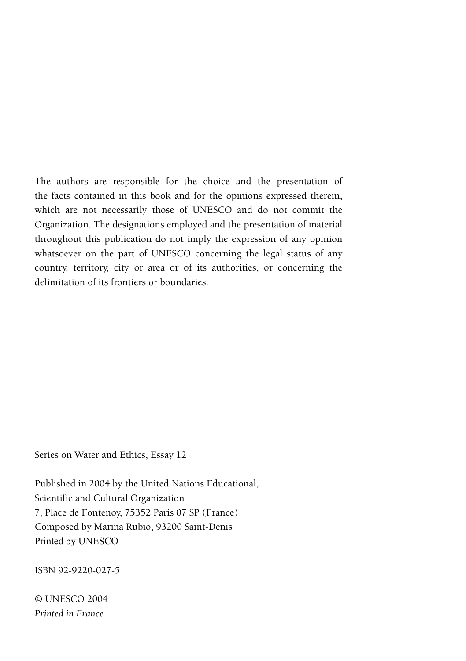The authors are responsible for the choice and the presentation of the facts contained in this book and for the opinions expressed therein, which are not necessarily those of UNESCO and do not commit the Organization. The designations employed and the presentation of material throughout this publication do not imply the expression of any opinion whatsoever on the part of UNESCO concerning the legal status of any country, territory, city or area or of its authorities, or concerning the delimitation of its frontiers or boundaries.

Series on Water and Ethics, Essay 12

Published in 2004 by the United Nations Educational, Scientific and Cultural Organization 7, Place de Fontenoy, 75352 Paris 07 SP (France) Composed by Marina Rubio, 93200 Saint-Denis Printed by UNESCO

ISBN 92-9220-027-5

© UNESCO 2004 *Printed in France*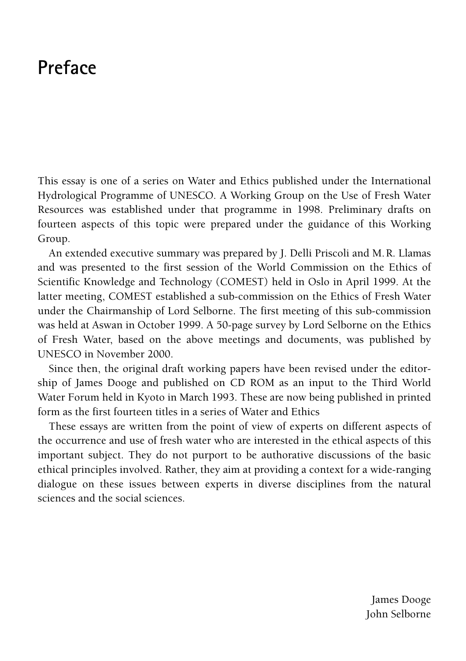## **Preface**

This essay is one of a series on Water and Ethics published under the International Hydrological Programme of UNESCO. A Working Group on the Use of Fresh Water Resources was established under that programme in 1998. Preliminary drafts on fourteen aspects of this topic were prepared under the guidance of this Working Group.

An extended executive summary was prepared by J. Delli Priscoli and M.R. Llamas and was presented to the first session of the World Commission on the Ethics of Scientific Knowledge and Technology (COMEST) held in Oslo in April 1999. At the latter meeting, COMEST established a sub-commission on the Ethics of Fresh Water under the Chairmanship of Lord Selborne. The first meeting of this sub-commission was held at Aswan in October 1999. A 50-page survey by Lord Selborne on the Ethics of Fresh Water, based on the above meetings and documents, was published by UNESCO in November 2000.

Since then, the original draft working papers have been revised under the editorship of James Dooge and published on CD ROM as an input to the Third World Water Forum held in Kyoto in March 1993. These are now being published in printed form as the first fourteen titles in a series of Water and Ethics

These essays are written from the point of view of experts on different aspects of the occurrence and use of fresh water who are interested in the ethical aspects of this important subject. They do not purport to be authorative discussions of the basic ethical principles involved. Rather, they aim at providing a context for a wide-ranging dialogue on these issues between experts in diverse disciplines from the natural sciences and the social sciences.

> James Dooge John Selborne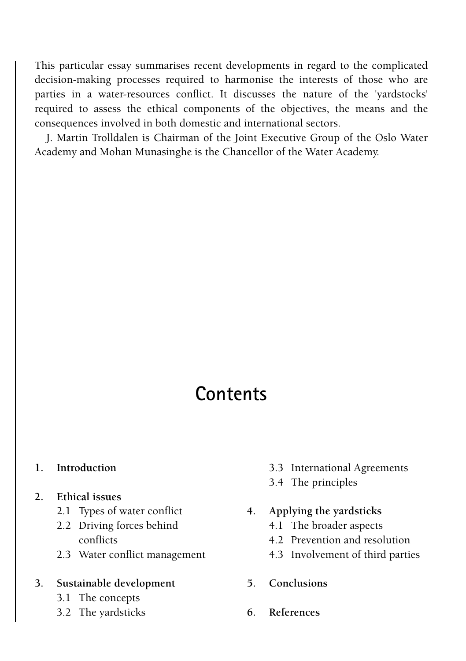This particular essay summarises recent developments in regard to the complicated decision-making processes required to harmonise the interests of those who are parties in a water-resources conflict. It discusses the nature of the 'yardstocks' required to assess the ethical components of the objectives, the means and the consequences involved in both domestic and international sectors.

J. Martin Trolldalen is Chairman of the Joint Executive Group of the Oslo Water Academy and Mohan Munasinghe is the Chancellor of the Water Academy.

## **Contents**

- **[1. Introduction](#page-6-0)**
- **[2. Ethical issues](#page-6-0)**
	- 2.1 Types of water conflict
	- [2.2](#page-7-0) [Driving forces behin](#page-7-0)d conflicts
	- [2.3 Water conflict](#page-8-0) management

#### **[3.](#page-9-0) [Sustainable](#page-9-0) development**

- 3.1 The concepts
- 3.2 The yardsticks
- 3.3 International Agreements
- [3.4 The principle](#page-12-0)s
- **[4.](#page-14-0) [Applying the yardstick](#page-14-0)s**
	- [4.1](#page-15-0) [The broader aspects](#page-15-0)
	- 4.2 Prevention and resolution
	- [4.3](#page-16-0) [I](#page-16-0)nvolvement of third parties
- **[5.](#page-16-1) [Con](#page-16-1)clusions**
- **6. References**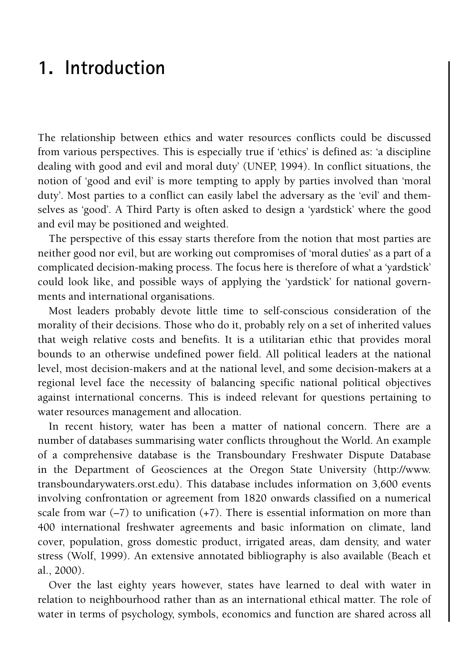### **1. Introduction**

The relationship between ethics and water resources conflicts could be discussed from various perspectives. This is especially true if 'ethics' is defined as: 'a discipline dealing with good and evil and moral duty' (UNEP, 1994). In conflict situations, the notion of 'good and evil' is more tempting to apply by parties involved than 'moral duty'. Most parties to a conflict can easily label the adversary as the 'evil' and themselves as 'good'. A Third Party is often asked to design a 'yardstick' where the good and evil may be positioned and weighted.

The perspective of this essay starts therefore from the notion that most parties are neither good nor evil, but are working out compromises of 'moral duties' as a part of a complicated decision-making process. The focus here is therefore of what a 'yardstick' could look like, and possible ways of applying the 'yardstick' for national governments and international organisations.

Most leaders probably devote little time to self-conscious consideration of the morality of their decisions. Those who do it, probably rely on a set of inherited values that weigh relative costs and benefits. It is a utilitarian ethic that provides moral bounds to an otherwise undefined power field. All political leaders at the national level, most decision-makers and at the national level, and some decision-makers at a regional level face the necessity of balancing specific national political objectives against international concerns. This is indeed relevant for questions pertaining to water resources management and allocation.

In recent history, water has been a matter of national concern. There are a number of databases summarising water conflicts throughout the [World. An e](http://www)xample of a comprehensive database is the Transboundary Freshwater Dispute Database in the Department of Geosciences at the Oregon State University (http://www. transboundarywaters.orst.edu). This database includes information on 3,600 events involving confrontation or agreement from 1820 onwards classified on a numerical scale from war  $(-7)$  to unification  $(+7)$ . There is essential information on more than 400 international freshwater agreements and basic information on climate, land cover, population, gross domestic product, irrigated areas, dam density, and water stress (Wolf, 1999). An extensive annotated bibliography is also available (Beach et al., 2000).

Over the last eighty years however, states have learned to deal with water in relation to neighbourhood rather than as an international ethical matter. The role of water in terms of psychology, symbols, economics and function are shared across all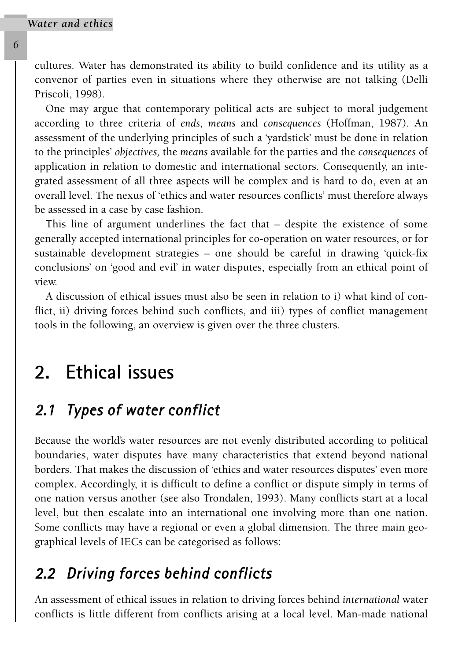cultures. Water has demonstrated its ability to build confidence and its utility as a convenor of parties even in situations where they otherwise are not talking (Delli Priscoli, 1998).

One may argue that contemporary political acts are subject to moral judgement according to three criteria of *ends, means* and *consequences* (Hoffman, 1987)*.* An assessment of the underlying principles of such a 'yardstick' must be done in relation to the principles' *objectives,* the *means* available for the parties and the *consequences* of application in relation to domestic and international sectors. Consequently, an integrated assessment of all three aspects will be complex and is hard to do, even at an overall level. The nexus of 'ethics and water resources conflicts' must therefore always be assessed in a case by case fashion.

This line of argument underlines the fact that – despite the existence of some generally accepted international principles for co-operation on water resources, or for sustainable development strategies – one should be careful in drawing 'quick-fix conclusions' on 'good and evil' in water disputes, especially from an ethical point of view.

<span id="page-6-0"></span>A discussion of ethical issues must also be seen in relation to i) what kind of conflict, ii) driving forces behind such conflicts, and iii) types of conflict management tools in the following, an overview is given over the three clusters.

### **2. Ethical issues**

#### *2.1 Types of water conflict*

Because the world's water resources are not evenly distributed according to political boundaries, water disputes have many characteristics that extend beyond national borders. That makes the discussion of 'ethics and water resources disputes' even more complex. Accordingly, it is difficult to define a conflict or dispute simply in terms of one nation versus another (see also Trondalen, 1993). Many conflicts start at a local level, but then escalate into an international one involving more than one nation. Some conflicts may have a regional or even a global dimension. The three main geographical levels of IECs can be categorised as follows:

#### *2.2 Driving forces behind conflicts*

An assessment of ethical issues in relation to driving forces behind *international* water conflicts is little different from conflicts arising at a local level. Man-made national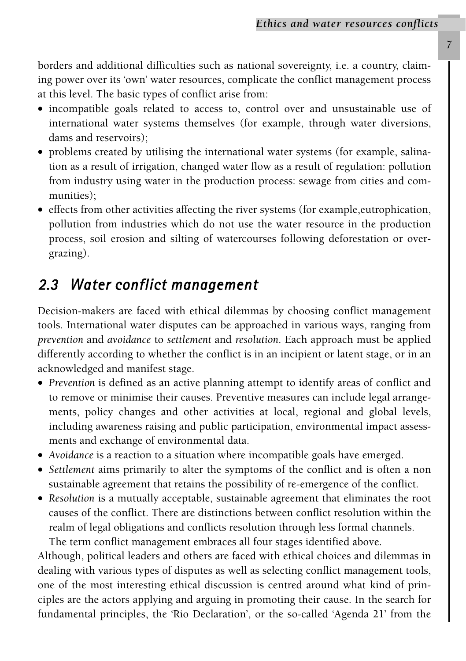borders and additional difficulties such as national sovereignty, i.e. a country, claiming power over its 'own' water resources, complicate the conflict management process at this level. The basic types of conflict arise from:

- incompatible goals related to access to, control over and unsustainable use of international water systems themselves (for example, through water diversions, dams and reservoirs);
- problems created by utilising the international water systems (for example, salination as a result of irrigation, changed water flow as a result of regulation: pollution from industry using water in the production process: sewage from cities and communities);
- <span id="page-7-0"></span>• effects from other activities affecting the river systems (for example,eutrophication, pollution from industries which do not use the water resource in the production process, soil erosion and silting of watercourses following deforestation or overgrazing).

#### *2.3 Water conflict management*

Decision-makers are faced with ethical dilemmas by choosing conflict management tools. International water disputes can be approached in various ways, ranging from *prevention* and *avoidance* to *settlement* and *resolution*. Each approach must be applied differently according to whether the conflict is in an incipient or latent stage, or in an acknowledged and manifest stage.

- *Prevention* is defined as an active planning attempt to identify areas of conflict and to remove or minimise their causes. Preventive measures can include legal arrangements, policy changes and other activities at local, regional and global levels, including awareness raising and public participation, environmental impact assessments and exchange of environmental data.
- *Avoidance* is a reaction to a situation where incompatible goals have emerged.
- *Settlement* aims primarily to alter the symptoms of the conflict and is often a non sustainable agreement that retains the possibility of re-emergence of the conflict.
- *Resolution* is a mutually acceptable, sustainable agreement that eliminates the root causes of the conflict. There are distinctions between conflict resolution within the realm of legal obligations and conflicts resolution through less formal channels. The term conflict management embraces all four stages identified above.

Although, political leaders and others are faced with ethical choices and dilemmas in dealing with various types of disputes as well as selecting conflict management tools, one of the most interesting ethical discussion is centred around what kind of principles are the actors applying and arguing in promoting their cause. In the search for fundamental principles, the 'Rio Declaration', or the so-called 'Agenda 21' from the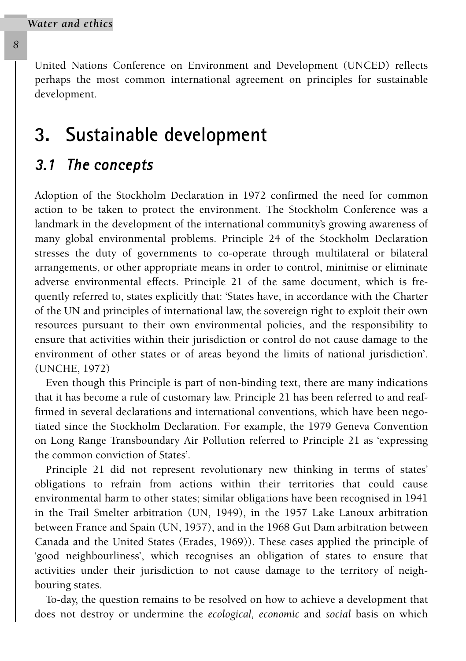<span id="page-8-0"></span>United Nations Conference on Environment and Development (UNCED) reflects perhaps the most common international agreement on principles for sustainable development.

#### **3. Sustainable development**

#### *3.1 The concepts*

Adoption of the Stockholm Declaration in 1972 confirmed the need for common action to be taken to protect the environment. The Stockholm Conference was a landmark in the development of the international community's growing awareness of many global environmental problems. Principle 24 of the Stockholm Declaration stresses the duty of governments to co-operate through multilateral or bilateral arrangements, or other appropriate means in order to control, minimise or eliminate adverse environmental effects. Principle 21 of the same document, which is frequently referred to, states explicitly that: 'States have, in accordance with the Charter of the UN and principles of international law, the sovereign right to exploit their own resources pursuant to their own environmental policies, and the responsibility to ensure that activities within their jurisdiction or control do not cause damage to the environment of other states or of areas beyond the limits of national jurisdiction'. (UNCHE, 1972)

Even though this Principle is part of non-binding text, there are many indications that it has become a rule of customary law. Principle 21 has been referred to and reaffirmed in several declarations and international conventions, which have been negotiated since the Stockholm Declaration. For example, the 1979 Geneva Convention on Long Range Transboundary Air Pollution referred to Principle 21 as 'expressing the common conviction of States'.

Principle 21 did not represent revolutionary new thinking in terms of states' obligations to refrain from actions within their territories that could cause environmental harm to other states; similar obligations have been recognised in 1941 in the Trail Smelter arbitration (UN, 1949), in the 1957 Lake Lanoux arbitration between France and Spain (UN, 1957), and in the 1968 Gut Dam arbitration between Canada and the United States (Erades, 1969)). These cases applied the principle of 'good neighbourliness', which recognises an obligation of states to ensure that activities under their jurisdiction to not cause damage to the territory of neighbouring states.

To-day, the question remains to be resolved on how to achieve a development that does not destroy or undermine the *ecological, economic* and *social* basis on which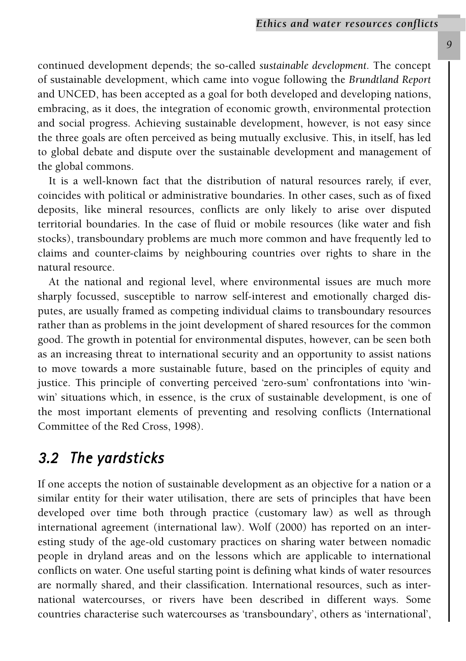continued development depends; the so-called *sustainable development.* The concept of sustainable development, which came into vogue following the *Brundtland Report* and UNCED, has been accepted as a goal for both developed and developing nations, embracing, as it does, the integration of economic growth, environmental protection and social progress. Achieving sustainable development, however, is not easy since the three goals are often perceived as being mutually exclusive. This, in itself, has led to global debate and dispute over the sustainable development and management of the global commons.

It is a well-known fact that the distribution of natural resources rarely, if ever, coincides with political or administrative boundaries. In other cases, such as of fixed deposits, like mineral resources, conflicts are only likely to arise over disputed territorial boundaries. In the case of fluid or mobile resources (like water and fish stocks), transboundary problems are much more common and have frequently led to claims and counter-claims by neighbouring countries over rights to share in the natural resource.

<span id="page-9-0"></span>At the national and regional level, where environmental issues are much more sharply focussed, susceptible to narrow self-interest and emotionally charged disputes, are usually framed as competing individual claims to transboundary resources rather than as problems in the joint development of shared resources for the common good. The growth in potential for environmental disputes, however, can be seen both as an increasing threat to international security and an opportunity to assist nations to move towards a more sustainable future, based on the principles of equity and justice. This principle of converting perceived 'zero-sum' confrontations into 'winwin' situations which, in essence, is the crux of sustainable development, is one of the most important elements of preventing and resolving conflicts (International Committee of the Red Cross, 1998).

#### *3.2 The yardsticks*

If one accepts the notion of sustainable development as an objective for a nation or a similar entity for their water utilisation, there are sets of principles that have been developed over time both through practice (customary law) as well as through international agreement (international law). Wolf (2000) has reported on an interesting study of the age-old customary practices on sharing water between nomadic people in dryland areas and on the lessons which are applicable to international conflicts on water. One useful starting point is defining what kinds of water resources are normally shared, and their classification. International resources, such as international watercourses, or rivers have been described in different ways. Some countries characterise such watercourses as 'transboundary', others as 'international',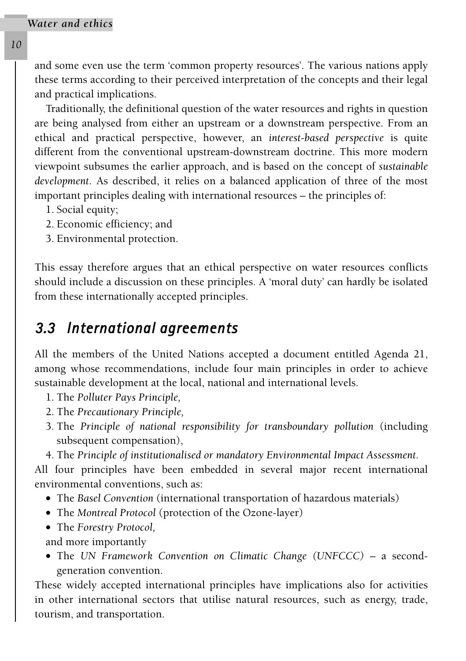and some even use the term 'common property resources'. The various nations apply these terms according to their perceived interpretation of the concepts and their legal and practical implications.

Traditionally, the definitional question of the water resources and rights in question are being analysed from either an upstream or a downstream perspective. From an ethical and practical perspective, however, an *interest-based perspective* is quite different from the conventional upstream-downstream doctrine. This more modern viewpoint subsumes the earlier approach, and is based on the concept of *sustainable development*. As described, it relies on a balanced application of three of the most important principles dealing with international resources – the principles of:

- 1. Social equity;
- 2. Economic efficiency; and
- 3. Environmental protection.

This essay therefore argues that an ethical perspective on water resources conflicts should include a discussion on these principles. A 'moral duty' can hardly be isolated from these internationally accepted principles.

#### *3.3 International agreements*

All the members of the United Nations accepted a document entitled Agenda 21, among whose recommendations, include four main principles in order to achieve sustainable development at the local, national and international levels.

- 1. The *Polluter Pays Principle,*
- 2. The *Precautionary Principle,*
- 3. The *Principle of national responsibility for transboundary pollution* (including subsequent compensation),
- 4. The *Principle of institutionalised or mandatory Environmental Impact Assessment.*

All four principles have been embedded in several major recent international environmental conventions, such as:

- The *Basel Convention* (international transportation of hazardous materials)
- The *Montreal Protocol* (protection of the Ozone-layer)
- The *Forestry Protocol,*
- and more importantly
- The *UN Framework Convention on Climatic Change (UNFCCC)* a secondgeneration convention.

These widely accepted international principles have implications also for activities in other international sectors that utilise natural resources, such as energy, trade, tourism, and transportation.

*10*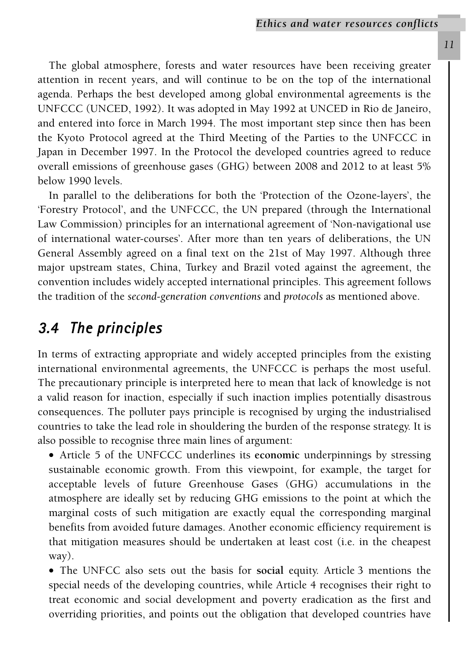The global atmosphere, forests and water resources have been receiving greater attention in recent years, and will continue to be on the top of the international agenda. Perhaps the best developed among global environmental agreements is the UNFCCC (UNCED, 1992). It was adopted in May 1992 at UNCED in Rio de Janeiro, and entered into force in March 1994. The most important step since then has been the Kyoto Protocol agreed at the Third Meeting of the Parties to the UNFCCC in Japan in December 1997. In the Protocol the developed countries agreed to reduce overall emissions of greenhouse gases (GHG) between 2008 and 2012 to at least 5% below 1990 levels.

In parallel to the deliberations for both the 'Protection of the Ozone-layers', the 'Forestry Protocol', and the UNFCCC, the UN prepared (through the International Law Commission) principles for an international agreement of 'Non-navigational use of international water-courses'. After more than ten years of deliberations, the UN General Assembly agreed on a final text on the 21st of May 1997. Although three major upstream states, China, Turkey and Brazil voted against the agreement, the convention includes widely accepted international principles. This agreement follows the tradition of the *second-generation conventions* and *protocols* as mentioned above.

#### *3.4 The principles*

In terms of extracting appropriate and widely accepted principles from the existing international environmental agreements, the UNFCCC is perhaps the most useful. The precautionary principle is interpreted here to mean that lack of knowledge is not a valid reason for inaction, especially if such inaction implies potentially disastrous consequences. The polluter pays principle is recognised by urging the industrialised countries to take the lead role in shouldering the burden of the response strategy. It is also possible to recognise three main lines of argument:

• Article 5 of the UNFCCC underlines its **economic** underpinnings by stressing sustainable economic growth. From this viewpoint, for example, the target for acceptable levels of future Greenhouse Gases (GHG) accumulations in the atmosphere are ideally set by reducing GHG emissions to the point at which the marginal costs of such mitigation are exactly equal the corresponding marginal benefits from avoided future damages. Another economic efficiency requirement is that mitigation measures should be undertaken at least cost (i.e. in the cheapest way).

• The UNFCC also sets out the basis for **social** equity. Article 3 mentions the special needs of the developing countries, while Article 4 recognises their right to treat economic and social development and poverty eradication as the first and overriding priorities, and points out the obligation that developed countries have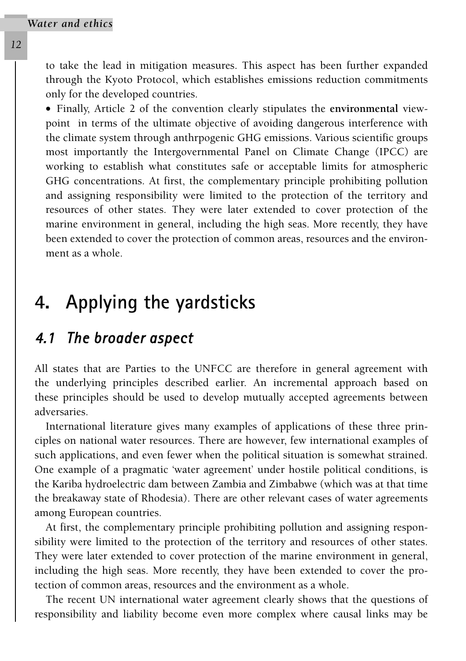to take the lead in mitigation measures. This aspect has been further expanded through the Kyoto Protocol, which establishes emissions reduction commitments only for the developed countries.

• Finally, Article 2 of the convention clearly stipulates the **environmental** viewpoint in terms of the ultimate objective of avoiding dangerous interference with the climate system through anthrpogenic GHG emissions. Various scientific groups most importantly the Intergovernmental Panel on Climate Change (IPCC) are working to establish what constitutes safe or acceptable limits for atmospheric GHG concentrations. At first, the complementary principle prohibiting pollution and assigning responsibility were limited to the protection of the territory and resources of other states. They were later extended to cover protection of the marine environment in general, including the high seas. More recently, they have been extended to cover the protection of common areas, resources and the environment as a whole.

## <span id="page-12-0"></span>**4. Applying the yardsticks**

#### *4.1 The broader aspect*

All states that are Parties to the UNFCC are therefore in general agreement with the underlying principles described earlier. An incremental approach based on these principles should be used to develop mutually accepted agreements between adversaries.

International literature gives many examples of applications of these three principles on national water resources. There are however, few international examples of such applications, and even fewer when the political situation is somewhat strained. One example of a pragmatic 'water agreement' under hostile political conditions, is the Kariba hydroelectric dam between Zambia and Zimbabwe (which was at that time the breakaway state of Rhodesia). There are other relevant cases of water agreements among European countries.

At first, the complementary principle prohibiting pollution and assigning responsibility were limited to the protection of the territory and resources of other states. They were later extended to cover protection of the marine environment in general, including the high seas. More recently, they have been extended to cover the protection of common areas, resources and the environment as a whole.

The recent UN international water agreement clearly shows that the questions of responsibility and liability become even more complex where causal links may be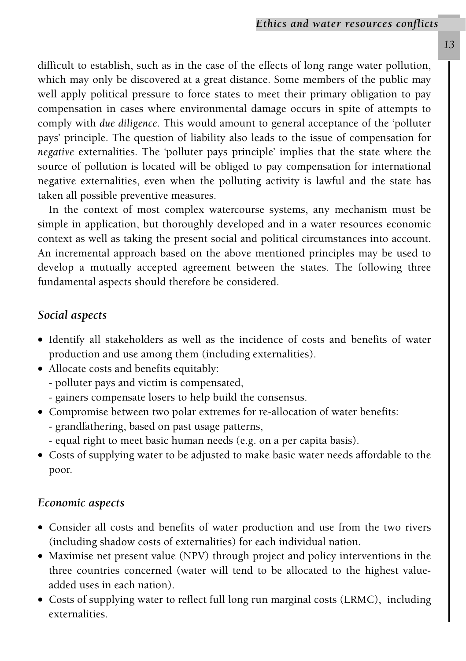difficult to establish, such as in the case of the effects of long range water pollution, which may only be discovered at a great distance. Some members of the public may well apply political pressure to force states to meet their primary obligation to pay compensation in cases where environmental damage occurs in spite of attempts to comply with *due diligence*. This would amount to general acceptance of the 'polluter pays' principle. The question of liability also leads to the issue of compensation for *negative* externalities. The 'polluter pays principle' implies that the state where the source of pollution is located will be obliged to pay compensation for international negative externalities, even when the polluting activity is lawful and the state has taken all possible preventive measures.

In the context of most complex watercourse systems, any mechanism must be simple in application, but thoroughly developed and in a water resources economic context as well as taking the present social and political circumstances into account. An incremental approach based on the above mentioned principles may be used to develop a mutually accepted agreement between the states. The following three fundamental aspects should therefore be considered.

#### *Social aspects*

- Identify all stakeholders as well as the incidence of costs and benefits of water production and use among them (including externalities).
- Allocate costs and benefits equitably:
	- polluter pays and victim is compensated,
	- gainers compensate losers to help build the consensus.
- Compromise between two polar extremes for re-allocation of water benefits: - grandfathering, based on past usage patterns,
	- equal right to meet basic human needs (e.g. on a per capita basis).
- Costs of supplying water to be adjusted to make basic water needs affordable to the poor.

#### *Economic aspects*

- Consider all costs and benefits of water production and use from the two rivers (including shadow costs of externalities) for each individual nation.
- Maximise net present value (NPV) through project and policy interventions in the three countries concerned (water will tend to be allocated to the highest valueadded uses in each nation).
- Costs of supplying water to reflect full long run marginal costs (LRMC), including externalities.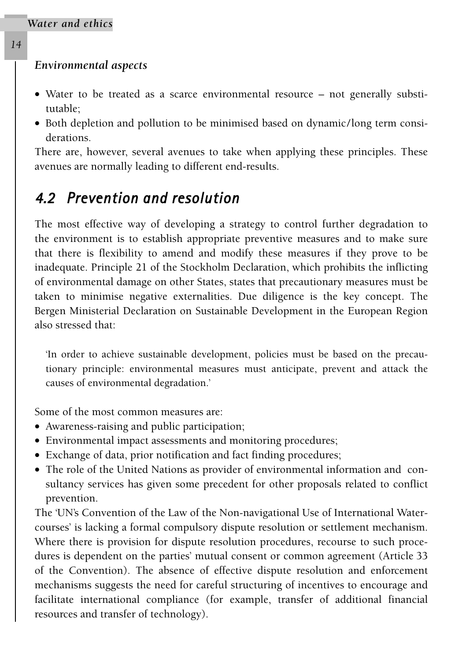#### <span id="page-14-0"></span>*Environmental aspects*

- Water to be treated as a scarce environmental resource not generally substitutable;
- Both depletion and pollution to be minimised based on dynamic/long term considerations.

There are, however, several avenues to take when applying these principles. These avenues are normally leading to different end-results.

#### *4.2 Prevention and resolution*

The most effective way of developing a strategy to control further degradation to the environment is to establish appropriate preventive measures and to make sure that there is flexibility to amend and modify these measures if they prove to be inadequate. Principle 21 of the Stockholm Declaration, which prohibits the inflicting of environmental damage on other States, states that precautionary measures must be taken to minimise negative externalities. Due diligence is the key concept. The Bergen Ministerial Declaration on Sustainable Development in the European Region also stressed that:

'In order to achieve sustainable development, policies must be based on the precautionary principle: environmental measures must anticipate, prevent and attack the causes of environmental degradation.'

Some of the most common measures are:

- Awareness-raising and public participation;
- Environmental impact assessments and monitoring procedures;
- Exchange of data, prior notification and fact finding procedures;
- The role of the United Nations as provider of environmental information and consultancy services has given some precedent for other proposals related to conflict prevention.

The 'UN's Convention of the Law of the Non-navigational Use of International Watercourses' is lacking a formal compulsory dispute resolution or settlement mechanism. Where there is provision for dispute resolution procedures, recourse to such procedures is dependent on the parties' mutual consent or common agreement (Article 33 of the Convention). The absence of effective dispute resolution and enforcement mechanisms suggests the need for careful structuring of incentives to encourage and facilitate international compliance (for example, transfer of additional financial resources and transfer of technology).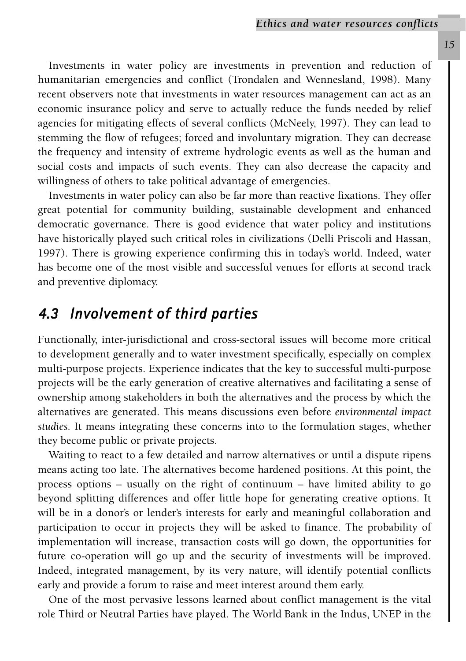Investments in water policy are investments in prevention and reduction of humanitarian emergencies and conflict (Trondalen and Wennesland, 1998). Many recent observers note that investments in water resources management can act as an economic insurance policy and serve to actually reduce the funds needed by relief agencies for mitigating effects of several conflicts (McNeely, 1997). They can lead to stemming the flow of refugees; forced and involuntary migration. They can decrease the frequency and intensity of extreme hydrologic events as well as the human and social costs and impacts of such events. They can also decrease the capacity and willingness of others to take political advantage of emergencies.

Investments in water policy can also be far more than reactive fixations. They offer great potential for community building, sustainable development and enhanced democratic governance. There is good evidence that water policy and institutions have historically played such critical roles in civilizations (Delli Priscoli and Hassan, 1997). There is growing experience confirming this in today's world. Indeed, water has become one of the most visible and successful venues for efforts at second track and preventive diplomacy.

#### <span id="page-15-0"></span>*4.3 Involvement of third parties*

Functionally, inter-jurisdictional and cross-sectoral issues will become more critical to development generally and to water investment specifically, especially on complex multi-purpose projects. Experience indicates that the key to successful multi-purpose projects will be the early generation of creative alternatives and facilitating a sense of ownership among stakeholders in both the alternatives and the process by which the alternatives are generated. This means discussions even before *environmental impact studies.* It means integrating these concerns into to the formulation stages, whether they become public or private projects.

Waiting to react to a few detailed and narrow alternatives or until a dispute ripens means acting too late. The alternatives become hardened positions. At this point, the process options – usually on the right of continuum – have limited ability to go beyond splitting differences and offer little hope for generating creative options. It will be in a donor's or lender's interests for early and meaningful collaboration and participation to occur in projects they will be asked to finance. The probability of implementation will increase, transaction costs will go down, the opportunities for future co-operation will go up and the security of investments will be improved. Indeed, integrated management, by its very nature, will identify potential conflicts early and provide a forum to raise and meet interest around them early.

One of the most pervasive lessons learned about conflict management is the vital role Third or Neutral Parties have played. The World Bank in the Indus, UNEP in the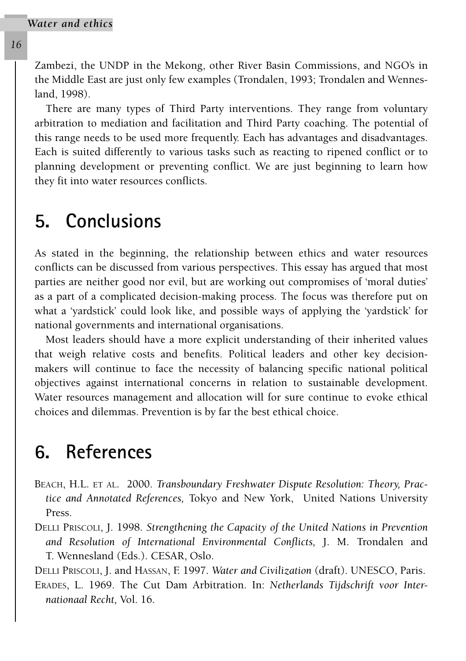<span id="page-16-0"></span>*16*

Zambezi, the UNDP in the Mekong, other River Basin Commissions, and NGO's in the Middle East are just only few examples (Trondalen, 1993; Trondalen and Wennesland, 1998).

There are many types of Third Party interventions. They range from voluntary arbitration to mediation and facilitation and Third Party coaching. The potential of this range needs to be used more frequently. Each has advantages and disadvantages. Each is suited differently to various tasks such as reacting to ripened conflict or to planning development or preventing conflict. We are just beginning to learn how they fit into water resources conflicts.

#### **5. Conclusions**

<span id="page-16-1"></span>As stated in the beginning, the relationship between ethics and water resources conflicts can be discussed from various perspectives. This essay has argued that most parties are neither good nor evil, but are working out compromises of 'moral duties' as a part of a complicated decision-making process. The focus was therefore put on what a 'yardstick' could look like, and possible ways of applying the 'yardstick' for national governments and international organisations.

Most leaders should have a more explicit understanding of their inherited values that weigh relative costs and benefits. Political leaders and other key decisionmakers will continue to face the necessity of balancing specific national political objectives against international concerns in relation to sustainable development. Water resources management and allocation will for sure continue to evoke ethical choices and dilemmas. Prevention is by far the best ethical choice.

## **6. References**

- BEACH, H.L. ET AL. 2000. *Transboundary Freshwater Dispute Resolution: Theory, Practice and Annotated References,* Tokyo and New York, United Nations University Press.
- DELLI PRISCOLI, J. 1998. *Strengthening the Capacity of the United Nations in Prevention and Resolution of International Environmental Conflicts,* J. M. Trondalen and T. Wennesland (Eds.). CESAR, Oslo.

DELLI PRISCOLI, J. and HASSAN, F. 1997. *Water and Civilization* (draft). UNESCO, Paris.

ERADES, L. 1969. The Cut Dam Arbitration. In: *Netherlands Tijdschrift voor Internationaal Recht,* Vol. 16.